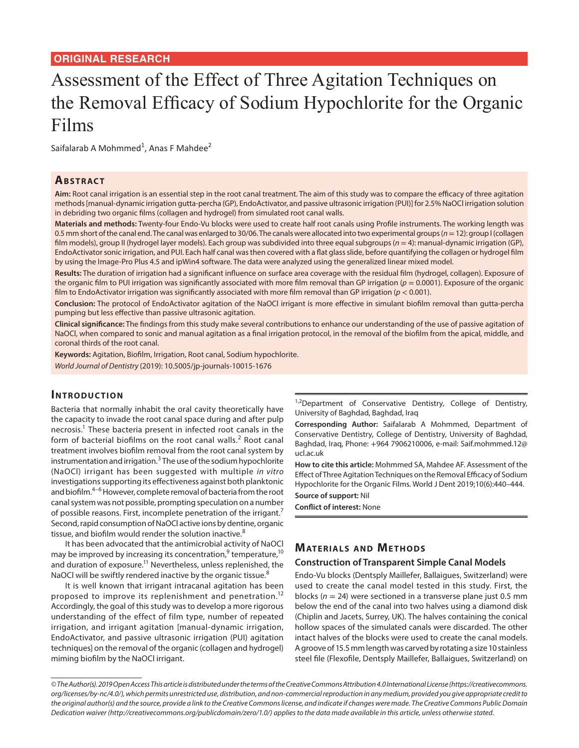#### **ORIGINAL RESEARCH**

# Assessment of the Effect of Three Agitation Techniques on the Removal Efficacy of Sodium Hypochlorite for the Organic Films

Saifalarab A Mohmmed<sup>1</sup>, Anas F Mahdee<sup>2</sup>

#### **ABSTRACT**

**Aim:** Root canal irrigation is an essential step in the root canal treatment. The aim of this study was to compare the efficacy of three agitation methods [manual-dynamic irrigation gutta-percha (GP), EndoActivator, and passive ultrasonic irrigation (PUI)] for 2.5% NaOCl irrigation solution in debriding two organic films (collagen and hydrogel) from simulated root canal walls.

**Materials and methods:** Twenty-four Endo-Vu blocks were used to create half root canals using Profile instruments. The working length was 0.5 mm short of the canal end. The canal was enlarged to 30/06. The canals were allocated into two experimental groups (*n*= 12): group I (collagen film models), group II (hydrogel layer models). Each group was subdivided into three equal subgroups (*n* = 4): manual-dynamic irrigation (GP), EndoActivator sonic irrigation, and PUI. Each half canal was then covered with a flat glass slide, before quantifying the collagen or hydrogel film by using the Image-Pro Plus 4.5 and ipWin4 software. The data were analyzed using the generalized linear mixed model.

**Results:** The duration of irrigation had a significant influence on surface area coverage with the residual film (hydrogel, collagen). Exposure of the organic film to PUI irrigation was significantly associated with more film removal than GP irrigation ( $p = 0.0001$ ). Exposure of the organic film to EndoActivator irrigation was significantly associated with more film removal than GP irrigation (*p* < 0.001).

**Conclusion:** The protocol of EndoActivator agitation of the NaOCl irrigant is more effective in simulant biofilm removal than gutta-percha pumping but less effective than passive ultrasonic agitation.

**Clinical significance:** The findings from this study make several contributions to enhance our understanding of the use of passive agitation of NaOCl, when compared to sonic and manual agitation as a final irrigation protocol, in the removal of the biofilm from the apical, middle, and coronal thirds of the root canal.

**Keywords:** Agitation, Biofilm, Irrigation, Root canal, Sodium hypochlorite.

*World Journal of Dentistry* (2019): 10.5005/jp-journals-10015-1676

#### **INTRODUCTION**

Bacteria that normally inhabit the oral cavity theoretically have the capacity to invade the root canal space during and after pulp necrosis.<sup>1</sup> These bacteria present in infected root canals in the form of bacterial biofilms on the root canal walls.<sup>2</sup> Root canal treatment involves biofilm removal from the root canal system by instrumentation and irrigation.<sup>3</sup> The use of the sodium hypochlorite (NaOCl) irrigant has been suggested with multiple *in vitro* investigations supporting its effectiveness against both planktonic and biofilm.<sup>4–6</sup> However, complete removal of bacteria from the root canal system was not possible, prompting speculation on a number of possible reasons. First, incomplete penetration of the irrigant.<sup>7</sup> Second, rapid consumption of NaOCl active ions by dentine, organic tissue, and biofilm would render the solution inactive.<sup>8</sup>

It has been advocated that the antimicrobial activity of NaOCl may be improved by increasing its concentration,<sup>9</sup> temperature,<sup>10</sup> and duration of exposure.<sup>11</sup> Nevertheless, unless replenished, the NaOCI will be swiftly rendered inactive by the organic tissue.<sup>8</sup>

It is well known that irrigant intracanal agitation has been proposed to improve its replenishment and penetration.<sup>12</sup> Accordingly, the goal of this study was to develop a more rigorous understanding of the effect of film type, number of repeated irrigation, and irrigant agitation [manual-dynamic irrigation, EndoActivator, and passive ultrasonic irrigation (PUI) agitation techniques] on the removal of the organic (collagen and hydrogel) miming biofilm by the NaOCl irrigant.

<sup>1,2</sup>Department of Conservative Dentistry, College of Dentistry, University of Baghdad, Baghdad, Iraq

**Corresponding Author:** Saifalarab A Mohmmed, Department of Conservative Dentistry, College of Dentistry, University of Baghdad, Baghdad, Iraq, Phone: +964 7906210006, e-mail: Saif.mohmmed.12@ ucl.ac.uk

**How to cite this article:** Mohmmed SA, Mahdee AF. Assessment of the Effect of Three Agitation Techniques on the Removal Efficacy of Sodium Hypochlorite for the Organic Films. World J Dent 2019;10(6):440–444.

**Source of support:** Nil

**Conflict of interest:** None

## **MATERIALS AND METHODS**

#### **Construction of Transparent Simple Canal Models**

Endo-Vu blocks (Dentsply Maillefer, Ballaigues, Switzerland) were used to create the canal model tested in this study. First, the blocks (*n* = 24) were sectioned in a transverse plane just 0.5 mm below the end of the canal into two halves using a diamond disk (Chiplin and Jacets, Surrey, UK). The halves containing the conical hollow spaces of the simulated canals were discarded. The other intact halves of the blocks were used to create the canal models. A groove of 15.5 mm length was carved by rotating a size 10 stainless steel file (Flexofile, Dentsply Maillefer, Ballaigues, Switzerland) on

*<sup>©</sup> The Author(s). 2019 Open Access This article is distributed under the terms of the Creative Commons Attribution 4.0 International License (https://creativecommons. org/licenses/by-nc/4.0/), which permits unrestricted use, distribution, and non-commercial reproduction in any medium, provided you give appropriate credit to the original author(s) and the source, provide a link to the Creative Commons license, and indicate if changes were made. The Creative Commons Public Domain Dedication waiver (http://creativecommons.org/publicdomain/zero/1.0/) applies to the data made available in this article, unless otherwise stated.*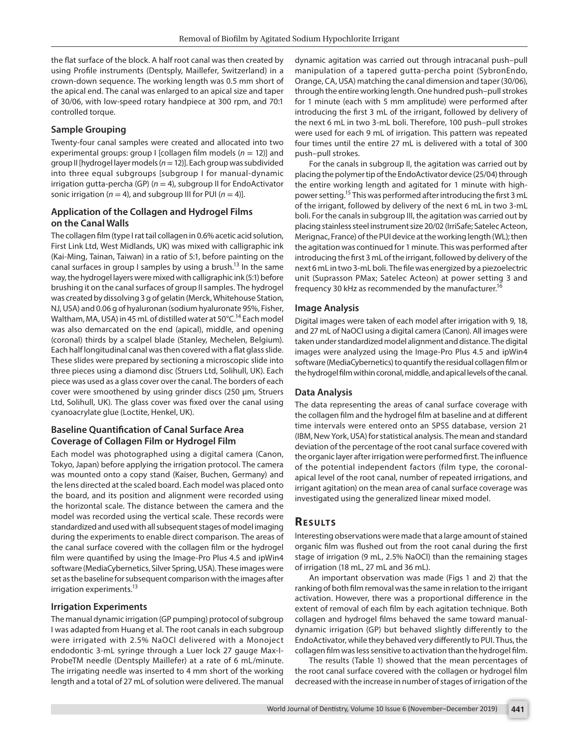the flat surface of the block. A half root canal was then created by using Profile instruments (Dentsply, Maillefer, Switzerland) in a crown-down sequence. The working length was 0.5 mm short of the apical end. The canal was enlarged to an apical size and taper of 30/06, with low-speed rotary handpiece at 300 rpm, and 70:1 controlled torque.

#### **Sample Grouping**

Twenty-four canal samples were created and allocated into two experimental groups: group I [collagen film models (*n* = 12)] and group II [hydrogel layer models (*n*= 12)]. Each group was subdivided into three equal subgroups [subgroup I for manual-dynamic irrigation gutta-percha (GP) (*n* = 4), subgroup II for EndoActivator sonic irrigation ( $n = 4$ ), and subgroup III for PUI ( $n = 4$ )].

#### **Application of the Collagen and Hydrogel Films on the Canal Walls**

The collagen film (type I rat tail collagen in 0.6% acetic acid solution, First Link Ltd, West Midlands, UK) was mixed with calligraphic ink (Kai-Ming, Tainan, Taiwan) in a ratio of 5:1, before painting on the canal surfaces in group I samples by using a brush.<sup>13</sup> In the same way, the hydrogel layers were mixed with calligraphic ink (5:1) before brushing it on the canal surfaces of group II samples. The hydrogel was created by dissolving 3 g of gelatin (Merck, Whitehouse Station, NJ, USA) and 0.06 g of hyaluronan (sodium hyaluronate 95%, Fisher, Waltham, MA, USA) in 45 mL of distilled water at  $50^{\circ}$ C.<sup>14</sup> Each model was also demarcated on the end (apical), middle, and opening (coronal) thirds by a scalpel blade (Stanley, Mechelen, Belgium). Each half longitudinal canal was then covered with a flat glass slide. These slides were prepared by sectioning a microscopic slide into three pieces using a diamond disc (Struers Ltd, Solihull, UK). Each piece was used as a glass cover over the canal. The borders of each cover were smoothened by using grinder discs (250 μm, Struers Ltd, Solihull, UK). The glass cover was fixed over the canal using cyanoacrylate glue (Loctite, Henkel, UK).

### **Baseline Quantification of Canal Surface Area Coverage of Collagen Film or Hydrogel Film**

Each model was photographed using a digital camera (Canon, Tokyo, Japan) before applying the irrigation protocol. The camera was mounted onto a copy stand (Kaiser, Buchen, Germany) and the lens directed at the scaled board. Each model was placed onto the board, and its position and alignment were recorded using the horizontal scale. The distance between the camera and the model was recorded using the vertical scale. These records were standardized and used with all subsequent stages of model imaging during the experiments to enable direct comparison. The areas of the canal surface covered with the collagen film or the hydrogel film were quantified by using the Image-Pro Plus 4.5 and ipWin4 software (MediaCybernetics, Silver Spring, USA). These images were set as the baseline for subsequent comparison with the images after irrigation experiments.<sup>13</sup>

#### **Irrigation Experiments**

The manual dynamic irrigation (GP pumping) protocol of subgroup I was adapted from Huang et al. The root canals in each subgroup were irrigated with 2.5% NaOCl delivered with a Monoject endodontic 3-mL syringe through a Luer lock 27 gauge Max-I-ProbeTM needle (Dentsply Maillefer) at a rate of 6 mL/minute. The irrigating needle was inserted to 4 mm short of the working length and a total of 27 mL of solution were delivered. The manual

dynamic agitation was carried out through intracanal push–pull manipulation of a tapered gutta-percha point (SybronEndo, Orange, CA, USA) matching the canal dimension and taper (30/06), through the entire working length. One hundred push–pull strokes for 1 minute (each with 5 mm amplitude) were performed after introducing the first 3 mL of the irrigant, followed by delivery of the next 6 mL in two 3-mL boli. Therefore, 100 push–pull strokes were used for each 9 mL of irrigation. This pattern was repeated four times until the entire 27 mL is delivered with a total of 300 push–pull strokes.

For the canals in subgroup II, the agitation was carried out by placing the polymer tip of the EndoActivator device (25/04) through the entire working length and agitated for 1 minute with highpower setting.15 This was performed after introducing the first 3 mL of the irrigant, followed by delivery of the next 6 mL in two 3-mL boli. For the canals in subgroup III, the agitation was carried out by placing stainless steel instrument size 20/02 (IrriSafe; Satelec Acteon, Merignac, France) of the PUI device at the working length (WL); then the agitation was continued for 1 minute. This was performed after introducing the first 3 mL of the irrigant, followed by delivery of the next 6 mL in two 3-mL boli. The file was energized by a piezoelectric unit (Suprasson PMax; Satelec Acteon) at power setting 3 and frequency 30 kHz as recommended by the manufacturer.<sup>16</sup>

#### **Image Analysis**

Digital images were taken of each model after irrigation with 9, 18, and 27 mL of NaOCl using a digital camera (Canon). All images were taken under standardized model alignment and distance. The digital images were analyzed using the Image-Pro Plus 4.5 and ipWin4 software (MediaCybernetics) to quantify the residual collagen film or the hydrogel film within coronal, middle, and apical levels of the canal.

#### **Data Analysis**

The data representing the areas of canal surface coverage with the collagen film and the hydrogel film at baseline and at different time intervals were entered onto an SPSS database, version 21 (IBM, New York, USA) for statistical analysis. The mean and standard deviation of the percentage of the root canal surface covered with the organic layer after irrigation were performed first. The influence of the potential independent factors (film type, the coronalapical level of the root canal, number of repeated irrigations, and irrigant agitation) on the mean area of canal surface coverage was investigated using the generalized linear mixed model.

# **RESULTS**

Interesting observations were made that a large amount of stained organic film was flushed out from the root canal during the first stage of irrigation (9 mL, 2.5% NaOCl) than the remaining stages of irrigation (18 mL, 27 mL and 36 mL).

An important observation was made (Figs 1 and 2) that the ranking of both film removal was the same in relation to the irrigant activation. However, there was a proportional difference in the extent of removal of each film by each agitation technique. Both collagen and hydrogel films behaved the same toward manualdynamic irrigation (GP) but behaved slightly differently to the EndoActivator, while they behaved very differently to PUI. Thus, the collagen film was less sensitive to activation than the hydrogel film.

The results (Table 1) showed that the mean percentages of the root canal surface covered with the collagen or hydrogel film decreased with the increase in number of stages of irrigation of the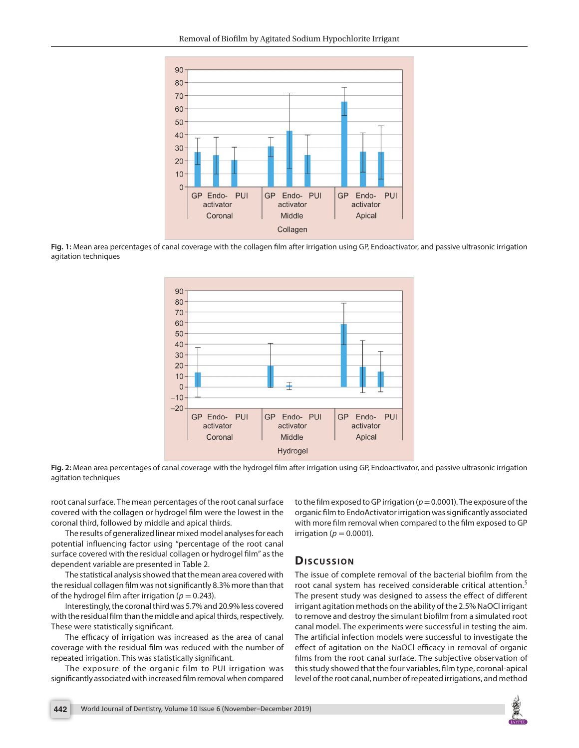

**Fig. 1:** Mean area percentages of canal coverage with the collagen film after irrigation using GP, Endoactivator, and passive ultrasonic irrigation agitation techniques



**Fig. 2:** Mean area percentages of canal coverage with the hydrogel film after irrigation using GP, Endoactivator, and passive ultrasonic irrigation agitation techniques

root canal surface. The mean percentages of the root canal surface covered with the collagen or hydrogel film were the lowest in the coronal third, followed by middle and apical thirds.

The results of generalized linear mixed model analyses for each potential influencing factor using "percentage of the root canal surface covered with the residual collagen or hydrogel film" as the dependent variable are presented in Table 2.

The statistical analysis showed that the mean area covered with the residual collagen film was not significantly 8.3% more than that of the hydrogel film after irrigation ( $p = 0.243$ ).

Interestingly, the coronal third was 5.7% and 20.9% less covered with the residual film than the middle and apical thirds, respectively. These were statistically significant.

The efficacy of irrigation was increased as the area of canal coverage with the residual film was reduced with the number of repeated irrigation. This was statistically significant.

The exposure of the organic film to PUI irrigation was significantly associated with increased film removal when compared to the film exposed to GP irrigation ( $p = 0.0001$ ). The exposure of the organic film to EndoActivator irrigation was significantly associated with more film removal when compared to the film exposed to GP irrigation ( $p = 0.0001$ ).

# **Dis c u s sio n**

The issue of complete removal of the bacterial biofilm from the root canal system has received considerable critical attention.<sup>5</sup> The present study was designed to assess the effect of different irrigant agitation methods on the ability of the 2.5% NaOCl irrigant to remove and destroy the simulant biofilm from a simulated root canal model. The experiments were successful in testing the aim. The artificial infection models were successful to investigate the effect of agitation on the NaOCl efficacy in removal of organic films from the root canal surface. The subjective observation of this study showed that the four variables, film type, coronal-apical level of the root canal, number of repeated irrigations, and method

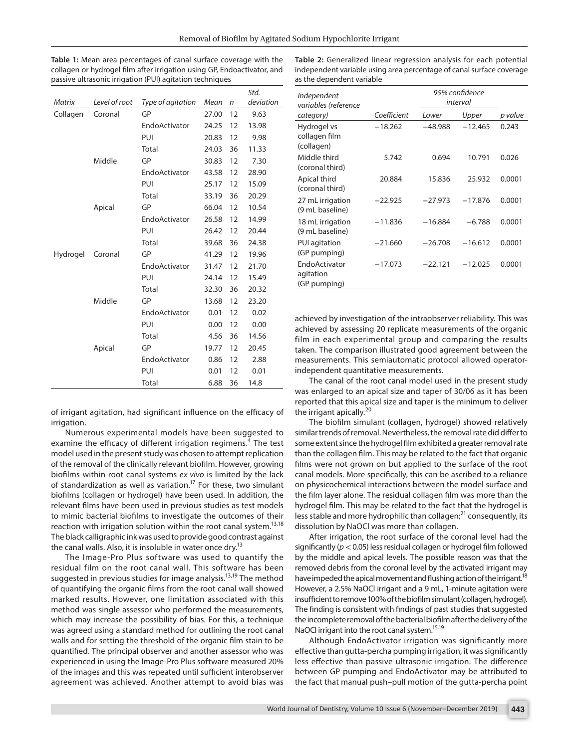**Table 1:** Mean area percentages of canal surface coverage with the collagen or hydrogel film after irrigation using GP, Endoactivator, and passive ultrasonic irrigation (PUI) agitation techniques

**Table 2:** Generalized linear regression analysis for each potential independent variable using area percentage of canal surface coverage as the dependent variable

| <b>Matrix</b> | Level of root | Type of agitation | Mean  | n  | Std.<br>deviation |
|---------------|---------------|-------------------|-------|----|-------------------|
| Collagen      | Coronal       | GP                | 27.00 | 12 | 9.63              |
|               |               | EndoActivator     | 24.25 | 12 | 13.98             |
|               |               | PUI               | 20.83 | 12 | 9.98              |
|               |               | Total             | 24.03 | 36 | 11.33             |
|               | Middle        | GP                | 30.83 | 12 | 7.30              |
|               |               | EndoActivator     | 43.58 | 12 | 28.90             |
|               |               | PUI               | 25.17 | 12 | 15.09             |
|               |               | Total             | 33.19 | 36 | 20.29             |
|               | Apical        | GP                | 66.04 | 12 | 10.54             |
|               |               | EndoActivator     | 26.58 | 12 | 14.99             |
|               |               | PUI               | 26.42 | 12 | 20.44             |
|               |               | Total             | 39.68 | 36 | 24.38             |
| Hydrogel      | Coronal       | GP                | 41.29 | 12 | 19.96             |
|               |               | EndoActivator     | 31.47 | 12 | 21.70             |
|               |               | PUI               | 24.14 | 12 | 15.49             |
|               |               | Total             | 32.30 | 36 | 20.32             |
|               | Middle        | GP                | 13.68 | 12 | 23.20             |
|               |               | EndoActivator     | 0.01  | 12 | 0.02              |
|               |               | PUI               | 0.00  | 12 | 0.00              |
|               |               | Total             | 4.56  | 36 | 14.56             |
|               | Apical        | GP                | 19.77 | 12 | 20.45             |
|               |               | EndoActivator     | 0.86  | 12 | 2.88              |
|               |               | PUI               | 0.01  | 12 | 0.01              |
|               |               | Total             | 6.88  | 36 | 14.8              |

of irrigant agitation, had significant influence on the efficacy of irrigation.

Numerous experimental models have been suggested to examine the efficacy of different irrigation regimens.<sup>4</sup> The test model used in the present study was chosen to attempt replication of the removal of the clinically relevant biofilm. However, growing biofilms within root canal systems *ex vivo* is limited by the lack of standardization as well as variation.17 For these, two simulant biofilms (collagen or hydrogel) have been used. In addition, the relevant films have been used in previous studies as test models to mimic bacterial biofilms to investigate the outcomes of their reaction with irrigation solution within the root canal system.<sup>13,18</sup> The black calligraphic ink was used to provide good contrast against the canal walls. Also, it is insoluble in water once dry.<sup>13</sup>

The Image-Pro Plus software was used to quantify the residual film on the root canal wall. This software has been suggested in previous studies for image analysis.<sup>13,19</sup> The method of quantifying the organic films from the root canal wall showed marked results. However, one limitation associated with this method was single assessor who performed the measurements, which may increase the possibility of bias. For this, a technique was agreed using a standard method for outlining the root canal walls and for setting the threshold of the organic film stain to be quantified. The principal observer and another assessor who was experienced in using the Image-Pro Plus software measured 20% of the images and this was repeated until sufficient interobserver agreement was achieved. Another attempt to avoid bias was

| Independent<br>variables (reference        |             |           | 95% confidence<br>interval |         |
|--------------------------------------------|-------------|-----------|----------------------------|---------|
| category)                                  | Coefficient | Lower     | Upper                      | p value |
| Hydrogel vs<br>collagen film<br>(collagen) | $-18.262$   | $-48.988$ | $-12.465$                  | 0.243   |
| Middle third<br>(coronal third)            | 5.742       | 0.694     | 10.791                     | 0.026   |
| Apical third<br>(coronal third)            | 20.884      | 15.836    | 25.932                     | 0.0001  |
| 27 mL irrigation<br>(9 mL baseline)        | $-22.925$   | $-27.973$ | $-17.876$                  | 0.0001  |
| 18 mL irrigation<br>(9 mL baseline)        | $-11.836$   | $-16.884$ | $-6.788$                   | 0.0001  |
| PUI agitation<br>(GP pumping)              | $-21.660$   | $-26.708$ | $-16.612$                  | 0.0001  |
| EndoActivator<br>agitation<br>(GP pumping) | $-17.073$   | $-22.121$ | $-12.025$                  | 0.0001  |

achieved by investigation of the intraobserver reliability. This was achieved by assessing 20 replicate measurements of the organic film in each experimental group and comparing the results taken. The comparison illustrated good agreement between the measurements. This semiautomatic protocol allowed operatorindependent quantitative measurements.

The canal of the root canal model used in the present study was enlarged to an apical size and taper of 30/06 as it has been reported that this apical size and taper is the minimum to deliver the irrigant apically.<sup>20</sup>

The biofilm simulant (collagen, hydrogel) showed relatively similar trends of removal. Nevertheless, the removal rate did differ to some extent since the hydrogel film exhibited a greater removal rate than the collagen film. This may be related to the fact that organic films were not grown on but applied to the surface of the root canal models. More specifically, this can be ascribed to a reliance on physicochemical interactions between the model surface and the film layer alone. The residual collagen film was more than the hydrogel film. This may be related to the fact that the hydrogel is less stable and more hydrophilic than collagen; $^{21}$  consequently, its dissolution by NaOCl was more than collagen.

After irrigation, the root surface of the coronal level had the significantly (*p*< 0.05) less residual collagen or hydrogel film followed by the middle and apical levels. The possible reason was that the removed debris from the coronal level by the activated irrigant may have impeded the apical movement and flushing action of the irrigant.<sup>18</sup> However, a 2.5% NaOCl irrigant and a 9 mL, 1-minute agitation were insufficient to remove 100% of the biofilm simulant (collagen, hydrogel). The finding is consistent with findings of past studies that suggested the incomplete removal of the bacterial biofilm after the delivery of the NaOCl irrigant into the root canal system.<sup>15,19</sup>

Although EndoActivator irrigation was significantly more effective than gutta-percha pumping irrigation, it was significantly less effective than passive ultrasonic irrigation. The difference between GP pumping and EndoActivator may be attributed to the fact that manual push–pull motion of the gutta-percha point